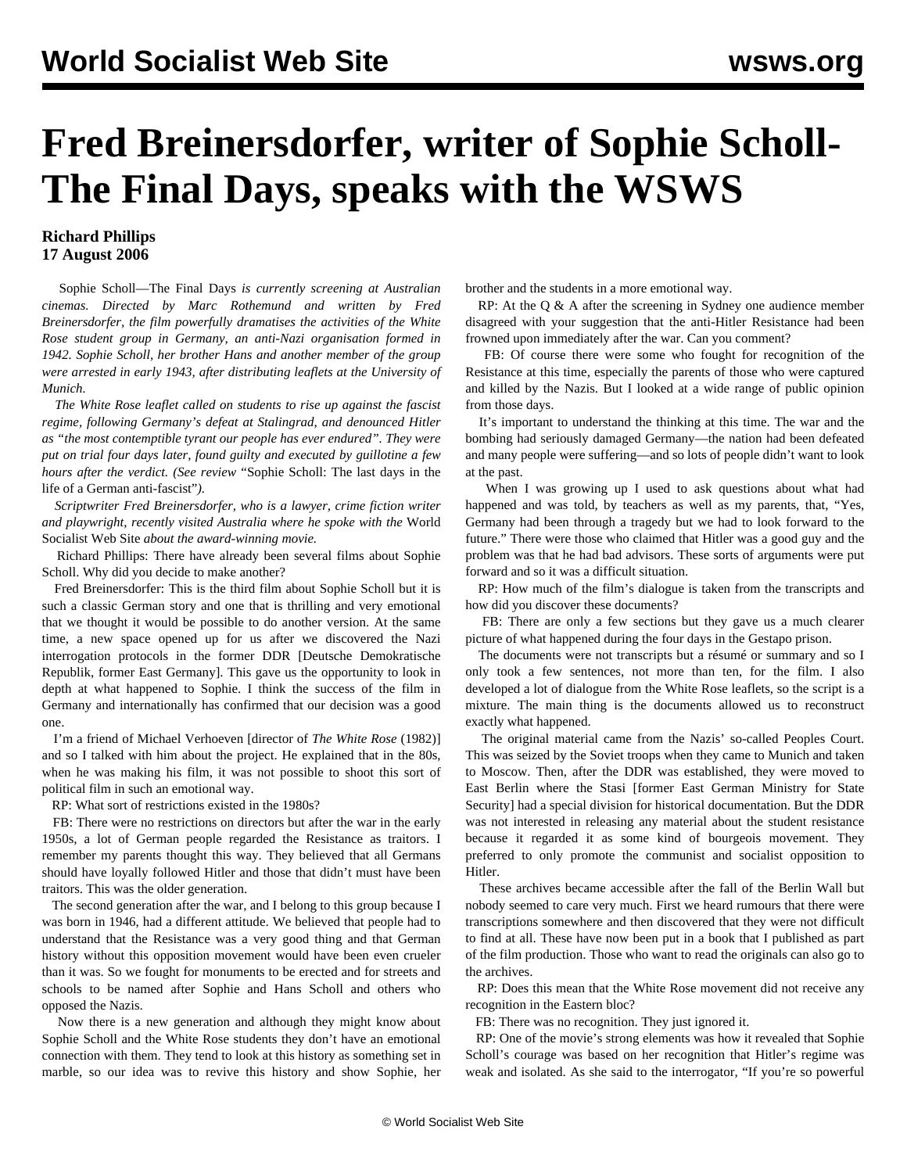## **Fred Breinersdorfer, writer of Sophie Scholl-The Final Days, speaks with the WSWS**

## **Richard Phillips 17 August 2006**

 Sophie Scholl—The Final Days *is currently screening at Australian cinemas. Directed by Marc Rothemund and written by Fred Breinersdorfer, the film powerfully dramatises the activities of the White Rose student group in Germany, an anti-Nazi organisation formed in 1942. Sophie Scholl, her brother Hans and another member of the group were arrested in early 1943, after distributing leaflets at the University of Munich.*

 *The White Rose leaflet called on students to rise up against the fascist regime, following Germany's defeat at Stalingrad, and denounced Hitler as "the most contemptible tyrant our people has ever endured". They were put on trial four days later, found guilty and executed by guillotine a few hours after the verdict. (See review* ["Sophie Scholl: The last days in the](/en/articles/2005/03/ber3-m05.html) [life of a German anti-fascist"](/en/articles/2005/03/ber3-m05.html)*).*

 *Scriptwriter Fred Breinersdorfer, who is a lawyer, crime fiction writer and playwright, recently visited Australia where he spoke with the* World Socialist Web Site *about the award-winning movie.*

 Richard Phillips: There have already been several films about Sophie Scholl. Why did you decide to make another?

 Fred Breinersdorfer: This is the third film about Sophie Scholl but it is such a classic German story and one that is thrilling and very emotional that we thought it would be possible to do another version. At the same time, a new space opened up for us after we discovered the Nazi interrogation protocols in the former DDR [Deutsche Demokratische Republik, former East Germany]. This gave us the opportunity to look in depth at what happened to Sophie. I think the success of the film in Germany and internationally has confirmed that our decision was a good one.

 I'm a friend of Michael Verhoeven [director of *The White Rose* (1982)] and so I talked with him about the project. He explained that in the 80s, when he was making his film, it was not possible to shoot this sort of political film in such an emotional way.

RP: What sort of restrictions existed in the 1980s?

 FB: There were no restrictions on directors but after the war in the early 1950s, a lot of German people regarded the Resistance as traitors. I remember my parents thought this way. They believed that all Germans should have loyally followed Hitler and those that didn't must have been traitors. This was the older generation.

 The second generation after the war, and I belong to this group because I was born in 1946, had a different attitude. We believed that people had to understand that the Resistance was a very good thing and that German history without this opposition movement would have been even crueler than it was. So we fought for monuments to be erected and for streets and schools to be named after Sophie and Hans Scholl and others who opposed the Nazis.

 Now there is a new generation and although they might know about Sophie Scholl and the White Rose students they don't have an emotional connection with them. They tend to look at this history as something set in marble, so our idea was to revive this history and show Sophie, her brother and the students in a more emotional way.

 RP: At the Q & A after the screening in Sydney one audience member disagreed with your suggestion that the anti-Hitler Resistance had been frowned upon immediately after the war. Can you comment?

 FB: Of course there were some who fought for recognition of the Resistance at this time, especially the parents of those who were captured and killed by the Nazis. But I looked at a wide range of public opinion from those days.

 It's important to understand the thinking at this time. The war and the bombing had seriously damaged Germany—the nation had been defeated and many people were suffering—and so lots of people didn't want to look at the past.

 When I was growing up I used to ask questions about what had happened and was told, by teachers as well as my parents, that, "Yes, Germany had been through a tragedy but we had to look forward to the future." There were those who claimed that Hitler was a good guy and the problem was that he had bad advisors. These sorts of arguments were put forward and so it was a difficult situation.

 RP: How much of the film's dialogue is taken from the transcripts and how did you discover these documents?

 FB: There are only a few sections but they gave us a much clearer picture of what happened during the four days in the Gestapo prison.

 The documents were not transcripts but a résumé or summary and so I only took a few sentences, not more than ten, for the film. I also developed a lot of dialogue from the White Rose leaflets, so the script is a mixture. The main thing is the documents allowed us to reconstruct exactly what happened.

 The original material came from the Nazis' so-called Peoples Court. This was seized by the Soviet troops when they came to Munich and taken to Moscow. Then, after the DDR was established, they were moved to East Berlin where the Stasi [former East German Ministry for State Security] had a special division for historical documentation. But the DDR was not interested in releasing any material about the student resistance because it regarded it as some kind of bourgeois movement. They preferred to only promote the communist and socialist opposition to Hitler.

 These archives became accessible after the fall of the Berlin Wall but nobody seemed to care very much. First we heard rumours that there were transcriptions somewhere and then discovered that they were not difficult to find at all. These have now been put in a book that I published as part of the film production. Those who want to read the originals can also go to the archives.

 RP: Does this mean that the White Rose movement did not receive any recognition in the Eastern bloc?

FB: There was no recognition. They just ignored it.

 RP: One of the movie's strong elements was how it revealed that Sophie Scholl's courage was based on her recognition that Hitler's regime was weak and isolated. As she said to the interrogator, "If you're so powerful